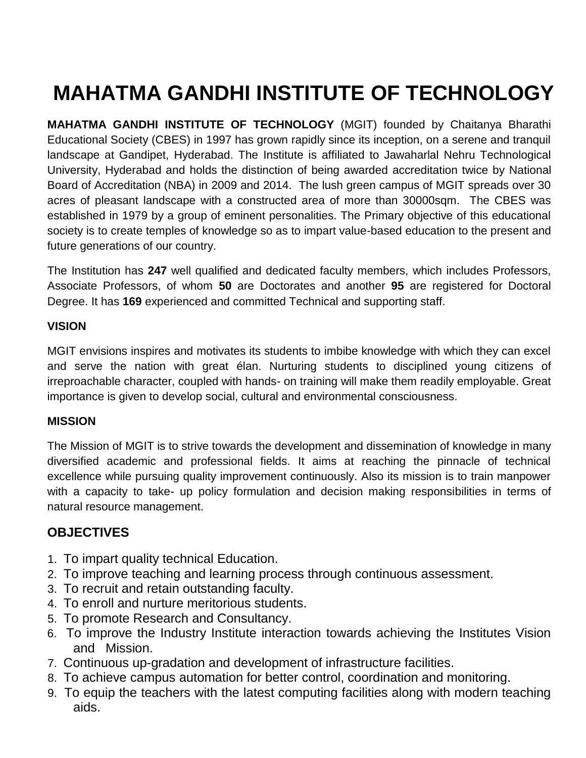# **MAHATMA GANDHI INSTITUTE OF TECHNOLOGY**

**MAHATMA GANDHI INSTITUTE OF TECHNOLOGY** (MGIT) founded by Chaitanya Bharathi Educational Society (CBES) in 1997 has grown rapidly since its inception, on a serene and tranquil landscape at Gandipet, Hyderabad. The Institute is affiliated to Jawaharlal Nehru Technological University, Hyderabad and holds the distinction of being awarded accreditation twice by National Board of Accreditation (NBA) in 2009 and 2014. The lush green campus of MGIT spreads over 30 acres of pleasant landscape with a constructed area of more than 30000sqm. The CBES was established in 1979 by a group of eminent personalities. The Primary objective of this educational society is to create temples of knowledge so as to impart value-based education to the present and future generations of our country.

The Institution has **247** well qualified and dedicated faculty members, which includes Professors, Associate Professors, of whom **50** are Doctorates and another **95** are registered for Doctoral Degree. It has **169** experienced and committed Technical and supporting staff.

#### **VISION**

MGIT envisions inspires and motivates its students to imbibe knowledge with which they can excel and serve the nation with great élan. Nurturing students to disciplined young citizens of irreproachable character, coupled with hands- on training will make them readily employable. Great importance is given to develop social, cultural and environmental consciousness.

#### **MISSION**

The Mission of MGIT is to strive towards the development and dissemination of knowledge in many diversified academic and professional fields. It aims at reaching the pinnacle of technical excellence while pursuing quality improvement continuously. Also its mission is to train manpower with a capacity to take- up policy formulation and decision making responsibilities in terms of natural resource management.

# **OBJECTIVES**

- 1. To impart quality technical Education.
- 2. To improve teaching and learning process through continuous assessment.
- 3. To recruit and retain outstanding faculty.
- 4. To enroll and nurture meritorious students.
- 5. To promote Research and Consultancy.
- 6. To improve the Industry Institute interaction towards achieving the Institutes Vision and Mission.
- 7. Continuous up-gradation and development of infrastructure facilities.
- 8. To achieve campus automation for better control, coordination and monitoring.
- 9. To equip the teachers with the latest computing facilities along with modern teaching aids.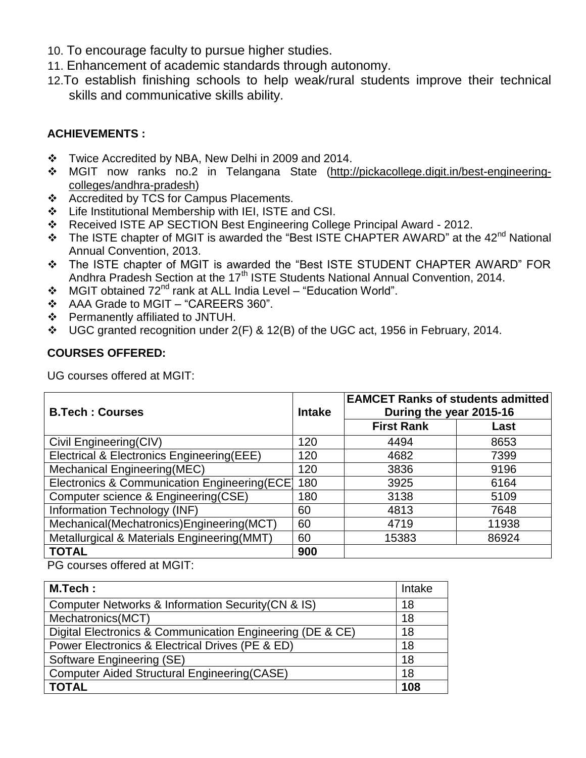- 10. To encourage faculty to pursue higher studies.
- 11. Enhancement of academic standards through autonomy.
- 12.To establish finishing schools to help weak/rural students improve their technical skills and communicative skills ability.

# **ACHIEVEMENTS :**

- \* Twice Accredited by NBA, New Delhi in 2009 and 2014.
- \* MGIT now ranks no.2 in Telangana State [\(http://pickacollege.digit.in/best-engineering](http://pickacollege.digit.in/best-engineering-colleges/andhra-pradesh)[colleges/andhra-pradesh\)](http://pickacollege.digit.in/best-engineering-colleges/andhra-pradesh)
- ❖ Accredited by TCS for Campus Placements.
- Life Institutional Membership with IEI, ISTE and CSI.
- Received ISTE AP SECTION Best Engineering College Principal Award 2012.
- $\div$  The ISTE chapter of MGIT is awarded the "Best ISTE CHAPTER AWARD" at the 42<sup>nd</sup> National Annual Convention, 2013.
- The ISTE chapter of MGIT is awarded the "Best ISTE STUDENT CHAPTER AWARD" FOR Andhra Pradesh Section at the 17<sup>th</sup> ISTE Students National Annual Convention, 2014.
- $\div$  MGIT obtained 72<sup>nd</sup> rank at ALL India Level "Education World".
- AAA Grade to MGIT "CAREERS 360".
- Permanently affiliated to JNTUH.
- UGC granted recognition under 2(F) & 12(B) of the UGC act, 1956 in February, 2014.

# **COURSES OFFERED:**

UG courses offered at MGIT:

| <b>B.Tech: Courses</b>                        | <b>Intake</b> | <b>EAMCET Ranks of students admitted</b><br>During the year 2015-16 |       |
|-----------------------------------------------|---------------|---------------------------------------------------------------------|-------|
|                                               |               | <b>First Rank</b>                                                   | Last  |
| Civil Engineering(CIV)                        | 120           | 4494                                                                | 8653  |
| Electrical & Electronics Engineering(EEE)     | 120           | 4682                                                                | 7399  |
| <b>Mechanical Engineering (MEC)</b>           | 120           | 3836                                                                | 9196  |
| Electronics & Communication Engineering (ECE) | 180           | 3925                                                                | 6164  |
| Computer science & Engineering(CSE)           | 180           | 3138                                                                | 5109  |
| Information Technology (INF)                  | 60            | 4813                                                                | 7648  |
| Mechanical(Mechatronics)Engineering(MCT)      | 60            | 4719                                                                | 11938 |
| Metallurgical & Materials Engineering (MMT)   | 60            | 15383                                                               | 86924 |
| <b>TOTAL</b>                                  | 900           |                                                                     |       |

PG courses offered at MGIT:

| M.Tech:                                                   | Intake |
|-----------------------------------------------------------|--------|
| Computer Networks & Information Security (CN & IS)        | 18     |
| Mechatronics(MCT)                                         | 18     |
| Digital Electronics & Communication Engineering (DE & CE) | 18     |
| Power Electronics & Electrical Drives (PE & ED)           | 18     |
| Software Engineering (SE)                                 | 18     |
| <b>Computer Aided Structural Engineering (CASE)</b>       | 18     |
| <b>TOTAL</b>                                              | 108    |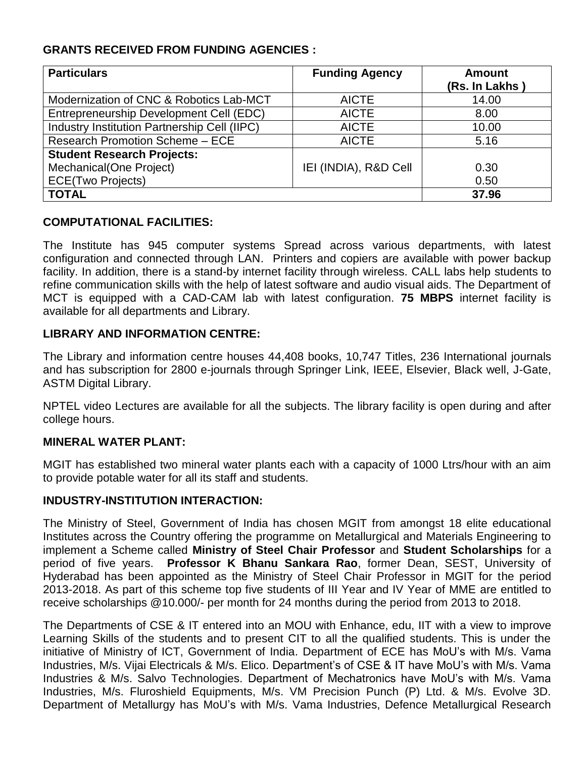# **GRANTS RECEIVED FROM FUNDING AGENCIES :**

| <b>Particulars</b>                           | <b>Funding Agency</b> | <b>Amount</b>  |
|----------------------------------------------|-----------------------|----------------|
|                                              |                       | (Rs. In Lakhs) |
| Modernization of CNC & Robotics Lab-MCT      | <b>AICTE</b>          | 14.00          |
| Entrepreneurship Development Cell (EDC)      | <b>AICTE</b>          | 8.00           |
| Industry Institution Partnership Cell (IIPC) | <b>AICTE</b>          | 10.00          |
| <b>Research Promotion Scheme - ECE</b>       | <b>AICTE</b>          | 5.16           |
| <b>Student Research Projects:</b>            |                       |                |
| Mechanical (One Project)                     | IEI (INDIA), R&D Cell | 0.30           |
| <b>ECE(Two Projects)</b>                     |                       | 0.50           |
| <b>TOTAL</b>                                 |                       | 37.96          |

# **COMPUTATIONAL FACILITIES:**

The Institute has 945 computer systems Spread across various departments, with latest configuration and connected through LAN. Printers and copiers are available with power backup facility. In addition, there is a stand-by internet facility through wireless. CALL labs help students to refine communication skills with the help of latest software and audio visual aids. The Department of MCT is equipped with a CAD-CAM lab with latest configuration. **75 MBPS** internet facility is available for all departments and Library.

#### **LIBRARY AND INFORMATION CENTRE:**

The Library and information centre houses 44,408 books, 10,747 Titles, 236 International journals and has subscription for 2800 e-journals through Springer Link, IEEE, Elsevier, Black well, J-Gate, ASTM Digital Library.

NPTEL video Lectures are available for all the subjects. The library facility is open during and after college hours.

# **MINERAL WATER PLANT:**

MGIT has established two mineral water plants each with a capacity of 1000 Ltrs/hour with an aim to provide potable water for all its staff and students.

# **INDUSTRY-INSTITUTION INTERACTION:**

The Ministry of Steel, Government of India has chosen MGIT from amongst 18 elite educational Institutes across the Country offering the programme on Metallurgical and Materials Engineering to implement a Scheme called **Ministry of Steel Chair Professor** and **Student Scholarships** for a period of five years. **Professor K Bhanu Sankara Rao**, former Dean, SEST, University of Hyderabad has been appointed as the Ministry of Steel Chair Professor in MGIT for the period 2013-2018. As part of this scheme top five students of III Year and IV Year of MME are entitled to receive scholarships @10.000/- per month for 24 months during the period from 2013 to 2018.

The Departments of CSE & IT entered into an MOU with Enhance, edu, IIT with a view to improve Learning Skills of the students and to present CIT to all the qualified students. This is under the initiative of Ministry of ICT, Government of India. Department of ECE has MoU's with M/s. Vama Industries, M/s. Vijai Electricals & M/s. Elico. Department's of CSE & IT have MoU's with M/s. Vama Industries & M/s. Salvo Technologies. Department of Mechatronics have MoU's with M/s. Vama Industries, M/s. Fluroshield Equipments, M/s. VM Precision Punch (P) Ltd. & M/s. Evolve 3D. Department of Metallurgy has MoU's with M/s. Vama Industries, Defence Metallurgical Research